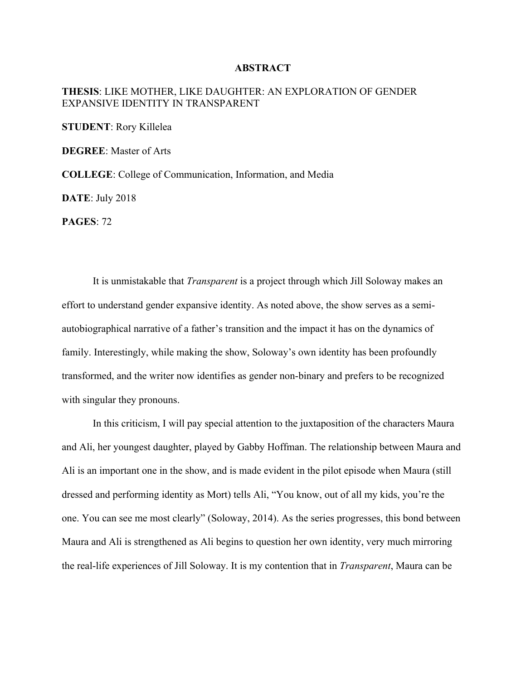## **ABSTRACT**

## **THESIS**: LIKE MOTHER, LIKE DAUGHTER: AN EXPLORATION OF GENDER EXPANSIVE IDENTITY IN TRANSPARENT

**STUDENT**: Rory Killelea

**DEGREE**: Master of Arts

**COLLEGE**: College of Communication, Information, and Media

**DATE**: July 2018

**PAGES**: 72

It is unmistakable that *Transparent* is a project through which Jill Soloway makes an effort to understand gender expansive identity. As noted above, the show serves as a semiautobiographical narrative of a father's transition and the impact it has on the dynamics of family. Interestingly, while making the show, Soloway's own identity has been profoundly transformed, and the writer now identifies as gender non-binary and prefers to be recognized with singular they pronouns.

In this criticism, I will pay special attention to the juxtaposition of the characters Maura and Ali, her youngest daughter, played by Gabby Hoffman. The relationship between Maura and Ali is an important one in the show, and is made evident in the pilot episode when Maura (still dressed and performing identity as Mort) tells Ali, "You know, out of all my kids, you're the one. You can see me most clearly" (Soloway, 2014). As the series progresses, this bond between Maura and Ali is strengthened as Ali begins to question her own identity, very much mirroring the real-life experiences of Jill Soloway. It is my contention that in *Transparent*, Maura can be